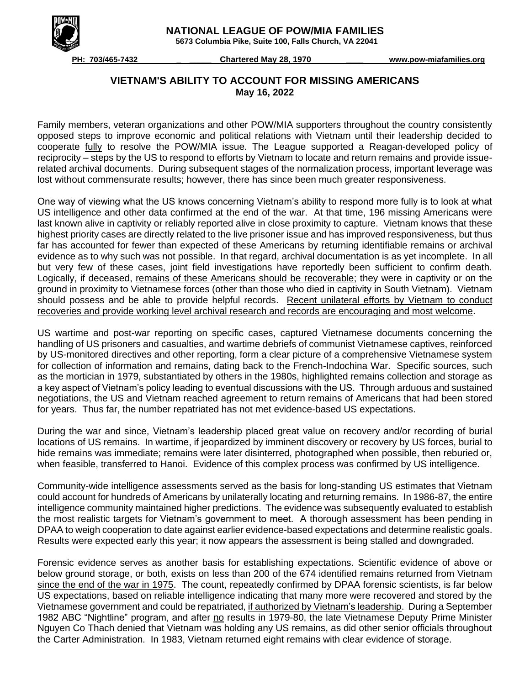

 **NATIONAL LEAGUE OF POW/MIA FAMILIES**

 **5673 Columbia Pike, Suite 100, Falls Church, VA 22041**

 **PH: 703/465-7432 \_ \_\_\_\_\_ Chartered May 28, 1970 \_\_\_\_ www.pow-miafamilies.org**

## **VIETNAM'S ABILITY TO ACCOUNT FOR MISSING AMERICANS May 16, 2022**

Family members, veteran organizations and other POW/MIA supporters throughout the country consistently opposed steps to improve economic and political relations with Vietnam until their leadership decided to cooperate fully to resolve the POW/MIA issue. The League supported a Reagan-developed policy of reciprocity – steps by the US to respond to efforts by Vietnam to locate and return remains and provide issuerelated archival documents. During subsequent stages of the normalization process, important leverage was lost without commensurate results; however, there has since been much greater responsiveness.

One way of viewing what the US knows concerning Vietnam's ability to respond more fully is to look at what US intelligence and other data confirmed at the end of the war. At that time, 196 missing Americans were last known alive in captivity or reliably reported alive in close proximity to capture. Vietnam knows that these highest priority cases are directly related to the live prisoner issue and has improved responsiveness, but thus far has accounted for fewer than expected of these Americans by returning identifiable remains or archival evidence as to why such was not possible. In that regard, archival documentation is as yet incomplete. In all but very few of these cases, joint field investigations have reportedly been sufficient to confirm death. Logically, if deceased, remains of these Americans should be recoverable; they were in captivity or on the ground in proximity to Vietnamese forces (other than those who died in captivity in South Vietnam). Vietnam should possess and be able to provide helpful records. Recent unilateral efforts by Vietnam to conduct recoveries and provide working level archival research and records are encouraging and most welcome.

US wartime and post-war reporting on specific cases, captured Vietnamese documents concerning the handling of US prisoners and casualties, and wartime debriefs of communist Vietnamese captives, reinforced by US-monitored directives and other reporting, form a clear picture of a comprehensive Vietnamese system for collection of information and remains, dating back to the French-Indochina War. Specific sources, such as the mortician in 1979, substantiated by others in the 1980s, highlighted remains collection and storage as a key aspect of Vietnam's policy leading to eventual discussions with the US. Through arduous and sustained negotiations, the US and Vietnam reached agreement to return remains of Americans that had been stored for years. Thus far, the number repatriated has not met evidence-based US expectations.

During the war and since, Vietnam's leadership placed great value on recovery and/or recording of burial locations of US remains. In wartime, if jeopardized by imminent discovery or recovery by US forces, burial to hide remains was immediate; remains were later disinterred, photographed when possible, then reburied or, when feasible, transferred to Hanoi. Evidence of this complex process was confirmed by US intelligence.

Community-wide intelligence assessments served as the basis for long-standing US estimates that Vietnam could account for hundreds of Americans by unilaterally locating and returning remains. In 1986-87, the entire intelligence community maintained higher predictions. The evidence was subsequently evaluated to establish the most realistic targets for Vietnam's government to meet. A thorough assessment has been pending in DPAA to weigh cooperation to date against earlier evidence-based expectations and determine realistic goals. Results were expected early this year; it now appears the assessment is being stalled and downgraded.

Forensic evidence serves as another basis for establishing expectations. Scientific evidence of above or below ground storage, or both, exists on less than 200 of the 674 identified remains returned from Vietnam since the end of the war in 1975. The count, repeatedly confirmed by DPAA forensic scientists, is far below US expectations, based on reliable intelligence indicating that many more were recovered and stored by the Vietnamese government and could be repatriated, if authorized by Vietnam's leadership. During a September 1982 ABC "Nightline" program, and after no results in 1979-80, the late Vietnamese Deputy Prime Minister Nguyen Co Thach denied that Vietnam was holding any US remains, as did other senior officials throughout the Carter Administration. In 1983, Vietnam returned eight remains with clear evidence of storage.